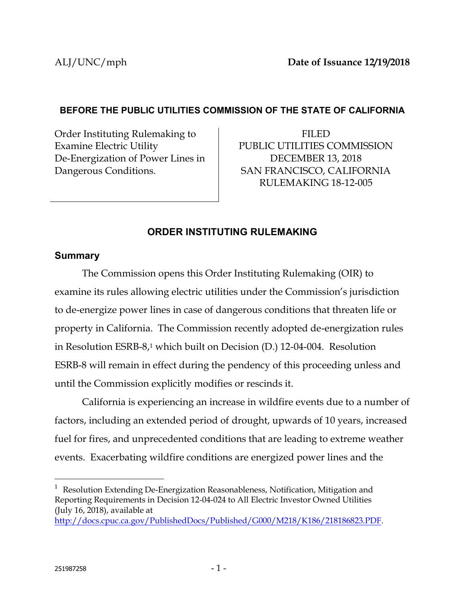## **BEFORE THE PUBLIC UTILITIES COMMISSION OF THE STATE OF CALIFORNIA**

Order Instituting Rulemaking to Examine Electric Utility De-Energization of Power Lines in Dangerous Conditions.

FILED PUBLIC UTILITIES COMMISSION DECEMBER 13, 2018 SAN FRANCISCO, CALIFORNIA RULEMAKING 18-12-005

# **ORDER INSTITUTING RULEMAKING**

## **Summary**

The Commission opens this Order Instituting Rulemaking (OIR) to examine its rules allowing electric utilities under the Commission's jurisdiction to de-energize power lines in case of dangerous conditions that threaten life or property in California. The Commission recently adopted de-energization rules in Resolution ESRB-8,<sup>1</sup> which built on Decision (D.) 12-04-004. Resolution ESRB-8 will remain in effect during the pendency of this proceeding unless and until the Commission explicitly modifies or rescinds it.

California is experiencing an increase in wildfire events due to a number of factors, including an extended period of drought, upwards of 10 years, increased fuel for fires, and unprecedented conditions that are leading to extreme weather events. Exacerbating wildfire conditions are energized power lines and the

[http://docs.cpuc.ca.gov/PublishedDocs/Published/G000/M218/K186/218186823.PDF.](http://docs.cpuc.ca.gov/PublishedDocs/Published/G000/M218/K186/218186823.PDF)

 $\overline{a}$ <sup>1</sup> Resolution Extending De-Energization Reasonableness, Notification, Mitigation and Reporting Requirements in Decision 12-04-024 to All Electric Investor Owned Utilities (July 16, 2018), available at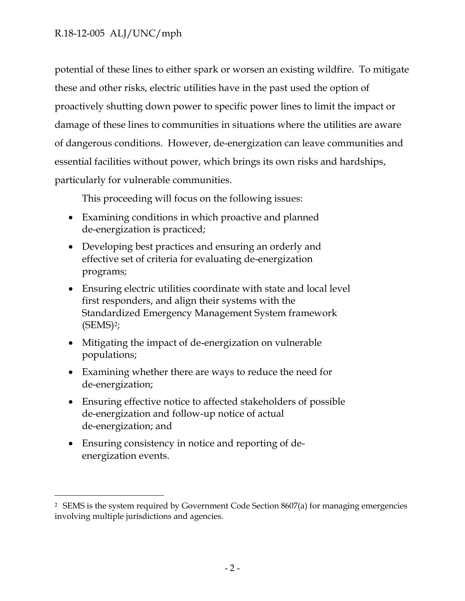potential of these lines to either spark or worsen an existing wildfire. To mitigate these and other risks, electric utilities have in the past used the option of proactively shutting down power to specific power lines to limit the impact or damage of these lines to communities in situations where the utilities are aware of dangerous conditions. However, de-energization can leave communities and essential facilities without power, which brings its own risks and hardships, particularly for vulnerable communities.

This proceeding will focus on the following issues:

- Examining conditions in which proactive and planned de-energization is practiced;
- Developing best practices and ensuring an orderly and effective set of criteria for evaluating de-energization programs;
- Ensuring electric utilities coordinate with state and local level first responders, and align their systems with the Standardized Emergency Management System framework  $(SEMS)<sup>2</sup>$ ;
- Mitigating the impact of de-energization on vulnerable populations;
- Examining whether there are ways to reduce the need for de-energization;
- Ensuring effective notice to affected stakeholders of possible de-energization and follow-up notice of actual de-energization; and
- Ensuring consistency in notice and reporting of deenergization events.

 $\overline{a}$ 

<sup>2</sup> SEMS is the system required by Government Code Section 8607(a) for managing emergencies involving multiple jurisdictions and agencies.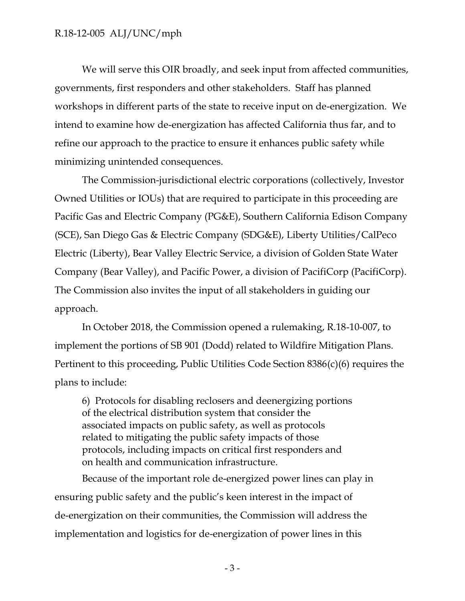We will serve this OIR broadly, and seek input from affected communities, governments, first responders and other stakeholders. Staff has planned workshops in different parts of the state to receive input on de-energization. We intend to examine how de-energization has affected California thus far, and to refine our approach to the practice to ensure it enhances public safety while minimizing unintended consequences.

The Commission-jurisdictional electric corporations (collectively, Investor Owned Utilities or IOUs) that are required to participate in this proceeding are Pacific Gas and Electric Company (PG&E), Southern California Edison Company (SCE), San Diego Gas & Electric Company (SDG&E), Liberty Utilities/CalPeco Electric (Liberty), Bear Valley Electric Service, a division of Golden State Water Company (Bear Valley), and Pacific Power, a division of PacifiCorp (PacifiCorp). The Commission also invites the input of all stakeholders in guiding our approach.

In October 2018, the Commission opened a rulemaking, R.18-10-007, to implement the portions of SB 901 (Dodd) related to Wildfire Mitigation Plans. Pertinent to this proceeding, Public Utilities Code Section 8386(c)(6) requires the plans to include:

6) Protocols for disabling reclosers and deenergizing portions of the electrical distribution system that consider the associated impacts on public safety, as well as protocols related to mitigating the public safety impacts of those protocols, including impacts on critical first responders and on health and communication infrastructure.

Because of the important role de-energized power lines can play in ensuring public safety and the public's keen interest in the impact of de-energization on their communities, the Commission will address the implementation and logistics for de-energization of power lines in this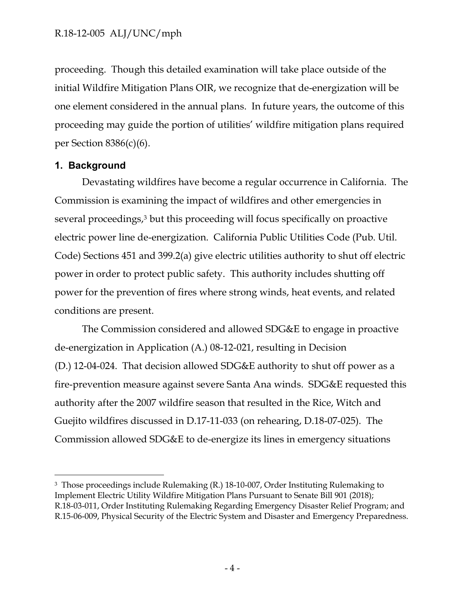proceeding. Though this detailed examination will take place outside of the initial Wildfire Mitigation Plans OIR, we recognize that de-energization will be one element considered in the annual plans. In future years, the outcome of this proceeding may guide the portion of utilities' wildfire mitigation plans required per Section  $8386(c)(6)$ .

### **1. Background**

 $\overline{a}$ 

Devastating wildfires have become a regular occurrence in California. The Commission is examining the impact of wildfires and other emergencies in several proceedings,<sup>3</sup> but this proceeding will focus specifically on proactive electric power line de-energization. California Public Utilities Code (Pub. Util. Code) Sections 451 and 399.2(a) give electric utilities authority to shut off electric power in order to protect public safety. This authority includes shutting off power for the prevention of fires where strong winds, heat events, and related conditions are present.

The Commission considered and allowed SDG&E to engage in proactive de-energization in Application (A.) 08-12-021, resulting in Decision (D.) 12-04-024. That decision allowed SDG&E authority to shut off power as a fire-prevention measure against severe Santa Ana winds. SDG&E requested this authority after the 2007 wildfire season that resulted in the Rice, Witch and Guejito wildfires discussed in D.17-11-033 (on rehearing, D.18-07-025). The Commission allowed SDG&E to de-energize its lines in emergency situations

<sup>&</sup>lt;sup>3</sup> Those proceedings include Rulemaking (R.) 18-10-007, Order Instituting Rulemaking to Implement Electric Utility Wildfire Mitigation Plans Pursuant to Senate Bill 901 (2018); R.18-03-011, Order Instituting Rulemaking Regarding Emergency Disaster Relief Program; and R.15-06-009, Physical Security of the Electric System and Disaster and Emergency Preparedness.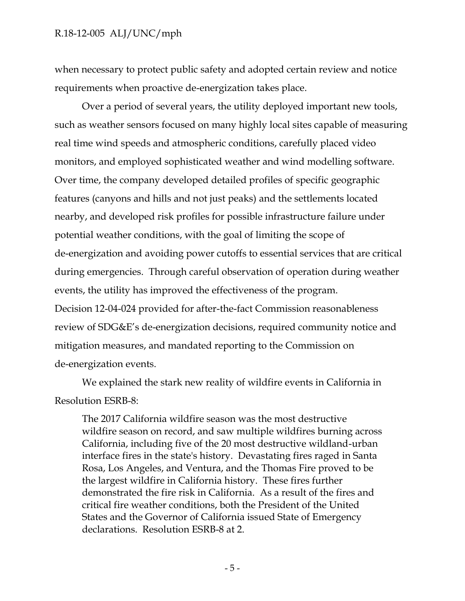when necessary to protect public safety and adopted certain review and notice requirements when proactive de-energization takes place.

Over a period of several years, the utility deployed important new tools, such as weather sensors focused on many highly local sites capable of measuring real time wind speeds and atmospheric conditions, carefully placed video monitors, and employed sophisticated weather and wind modelling software. Over time, the company developed detailed profiles of specific geographic features (canyons and hills and not just peaks) and the settlements located nearby, and developed risk profiles for possible infrastructure failure under potential weather conditions, with the goal of limiting the scope of de-energization and avoiding power cutoffs to essential services that are critical during emergencies. Through careful observation of operation during weather events, the utility has improved the effectiveness of the program. Decision 12-04-024 provided for after-the-fact Commission reasonableness review of SDG&E's de-energization decisions, required community notice and mitigation measures, and mandated reporting to the Commission on de-energization events.

We explained the stark new reality of wildfire events in California in Resolution ESRB-8:

The 2017 California wildfire season was the most destructive wildfire season on record, and saw multiple wildfires burning across California, including five of the 20 most destructive wildland-urban interface fires in the state's history. Devastating fires raged in Santa Rosa, Los Angeles, and Ventura, and the Thomas Fire proved to be the largest wildfire in California history. These fires further demonstrated the fire risk in California. As a result of the fires and critical fire weather conditions, both the President of the United States and the Governor of California issued State of Emergency declarations. Resolution ESRB-8 at 2.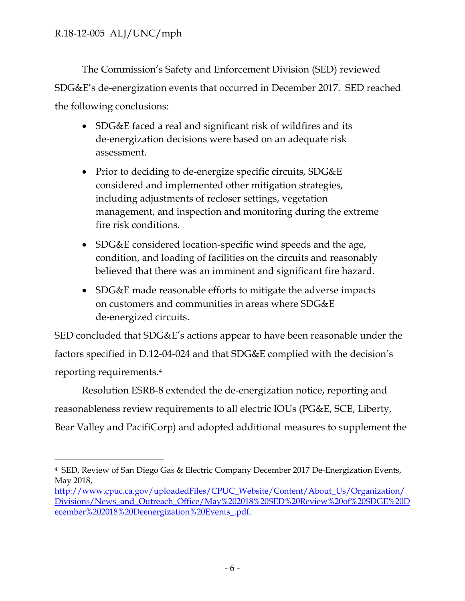The Commission's Safety and Enforcement Division (SED) reviewed SDG&E's de-energization events that occurred in December 2017. SED reached the following conclusions:

- SDG&E faced a real and significant risk of wildfires and its de-energization decisions were based on an adequate risk assessment.
- Prior to deciding to de-energize specific circuits, SDG&E considered and implemented other mitigation strategies, including adjustments of recloser settings, vegetation management, and inspection and monitoring during the extreme fire risk conditions.
- SDG&E considered location-specific wind speeds and the age, condition, and loading of facilities on the circuits and reasonably believed that there was an imminent and significant fire hazard.
- SDG&E made reasonable efforts to mitigate the adverse impacts on customers and communities in areas where SDG&E de-energized circuits.

SED concluded that SDG&E's actions appear to have been reasonable under the factors specified in D.12-04-024 and that SDG&E complied with the decision's reporting requirements. 4

Resolution ESRB-8 extended the de-energization notice, reporting and reasonableness review requirements to all electric IOUs (PG&E, SCE, Liberty, Bear Valley and PacifiCorp) and adopted additional measures to supplement the

 $\overline{a}$ <sup>4</sup> SED, Review of San Diego Gas & Electric Company December 2017 De-Energization Events, May 2018,

[http://www.cpuc.ca.gov/uploadedFiles/CPUC\\_Website/Content/About\\_Us/Organization/](http://www.cpuc.ca.gov/uploadedFiles/CPUC_Website/Content/About_Us/Organization/Divisions/News_and_Outreach_Office/May%202018%20SED%20Review%20of%20SDGE%20December%202018%20Deenergization%20Events_.pdf) [Divisions/News\\_and\\_Outreach\\_Office/May%202018%20SED%20Review%20of%20SDGE%20D](http://www.cpuc.ca.gov/uploadedFiles/CPUC_Website/Content/About_Us/Organization/Divisions/News_and_Outreach_Office/May%202018%20SED%20Review%20of%20SDGE%20December%202018%20Deenergization%20Events_.pdf) [ecember%202018%20Deenergization%20Events\\_.pdf.](http://www.cpuc.ca.gov/uploadedFiles/CPUC_Website/Content/About_Us/Organization/Divisions/News_and_Outreach_Office/May%202018%20SED%20Review%20of%20SDGE%20December%202018%20Deenergization%20Events_.pdf)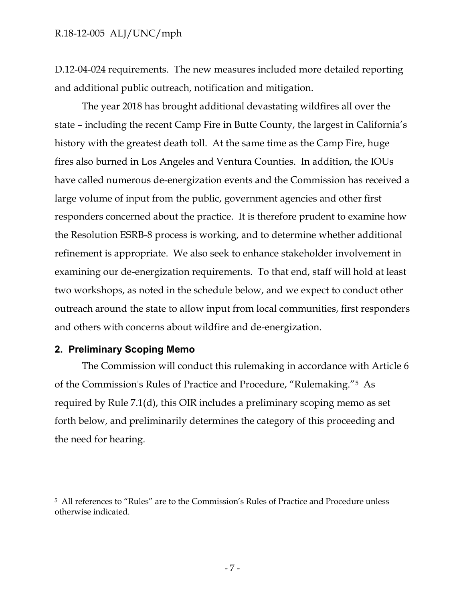D.12-04-024 requirements. The new measures included more detailed reporting and additional public outreach, notification and mitigation.

The year 2018 has brought additional devastating wildfires all over the state – including the recent Camp Fire in Butte County, the largest in California's history with the greatest death toll. At the same time as the Camp Fire, huge fires also burned in Los Angeles and Ventura Counties. In addition, the IOUs have called numerous de-energization events and the Commission has received a large volume of input from the public, government agencies and other first responders concerned about the practice. It is therefore prudent to examine how the Resolution ESRB-8 process is working, and to determine whether additional refinement is appropriate. We also seek to enhance stakeholder involvement in examining our de-energization requirements. To that end, staff will hold at least two workshops, as noted in the schedule below, and we expect to conduct other outreach around the state to allow input from local communities, first responders and others with concerns about wildfire and de-energization.

#### **2. Preliminary Scoping Memo**

 $\overline{a}$ 

The Commission will conduct this rulemaking in accordance with Article 6 of the Commission's Rules of Practice and Procedure, "Rulemaking."5 As required by Rule 7.1(d), this OIR includes a preliminary scoping memo as set forth below, and preliminarily determines the category of this proceeding and the need for hearing.

<sup>5</sup> All references to "Rules" are to the Commission's Rules of Practice and Procedure unless otherwise indicated.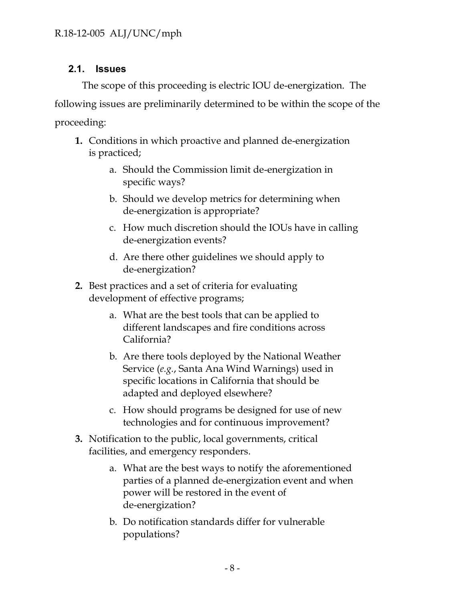# **2.1. Issues**

The scope of this proceeding is electric IOU de-energization. The following issues are preliminarily determined to be within the scope of the proceeding:

- **1.** Conditions in which proactive and planned de-energization is practiced;
	- a. Should the Commission limit de-energization in specific ways?
	- b. Should we develop metrics for determining when de-energization is appropriate?
	- c. How much discretion should the IOUs have in calling de-energization events?
	- d. Are there other guidelines we should apply to de-energization?
- **2.** Best practices and a set of criteria for evaluating development of effective programs;
	- a. What are the best tools that can be applied to different landscapes and fire conditions across California?
	- b. Are there tools deployed by the National Weather Service (*e.g.*, Santa Ana Wind Warnings) used in specific locations in California that should be adapted and deployed elsewhere?
	- c. How should programs be designed for use of new technologies and for continuous improvement?
- **3.** Notification to the public, local governments, critical facilities, and emergency responders.
	- a. What are the best ways to notify the aforementioned parties of a planned de-energization event and when power will be restored in the event of de-energization?
	- b. Do notification standards differ for vulnerable populations?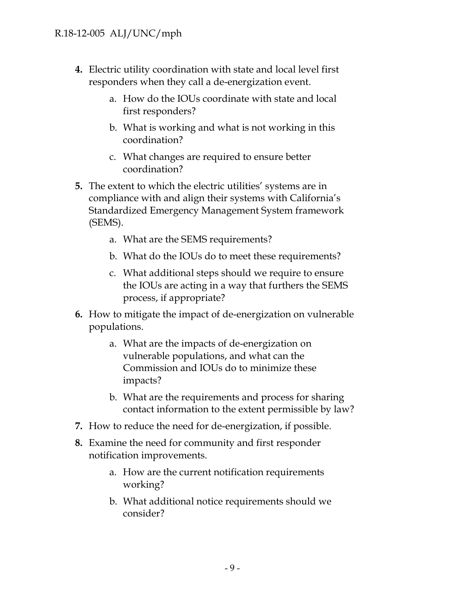- **4.** Electric utility coordination with state and local level first responders when they call a de-energization event.
	- a. How do the IOUs coordinate with state and local first responders?
	- b. What is working and what is not working in this coordination?
	- c. What changes are required to ensure better coordination?
- **5.** The extent to which the electric utilities' systems are in compliance with and align their systems with California's Standardized Emergency Management System framework (SEMS).
	- a. What are the SEMS requirements?
	- b. What do the IOUs do to meet these requirements?
	- c. What additional steps should we require to ensure the IOUs are acting in a way that furthers the SEMS process, if appropriate?
- **6.** How to mitigate the impact of de-energization on vulnerable populations.
	- a. What are the impacts of de-energization on vulnerable populations, and what can the Commission and IOUs do to minimize these impacts?
	- b. What are the requirements and process for sharing contact information to the extent permissible by law?
- **7.** How to reduce the need for de-energization, if possible.
- **8.** Examine the need for community and first responder notification improvements.
	- a. How are the current notification requirements working?
	- b. What additional notice requirements should we consider?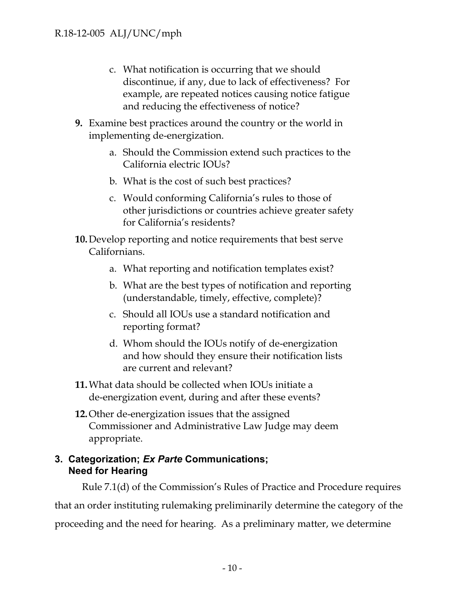- c. What notification is occurring that we should discontinue, if any, due to lack of effectiveness? For example, are repeated notices causing notice fatigue and reducing the effectiveness of notice?
- **9.** Examine best practices around the country or the world in implementing de-energization.
	- a. Should the Commission extend such practices to the California electric IOUs?
	- b. What is the cost of such best practices?
	- c. Would conforming California's rules to those of other jurisdictions or countries achieve greater safety for California's residents?
- **10.**Develop reporting and notice requirements that best serve Californians.
	- a. What reporting and notification templates exist?
	- b. What are the best types of notification and reporting (understandable, timely, effective, complete)?
	- c. Should all IOUs use a standard notification and reporting format?
	- d. Whom should the IOUs notify of de-energization and how should they ensure their notification lists are current and relevant?
- **11.**What data should be collected when IOUs initiate a de-energization event, during and after these events?
- **12.**Other de-energization issues that the assigned Commissioner and Administrative Law Judge may deem appropriate.

## **3. Categorization;** *Ex Parte* **Communications; Need for Hearing**

Rule 7.1(d) of the Commission's Rules of Practice and Procedure requires that an order instituting rulemaking preliminarily determine the category of the proceeding and the need for hearing. As a preliminary matter, we determine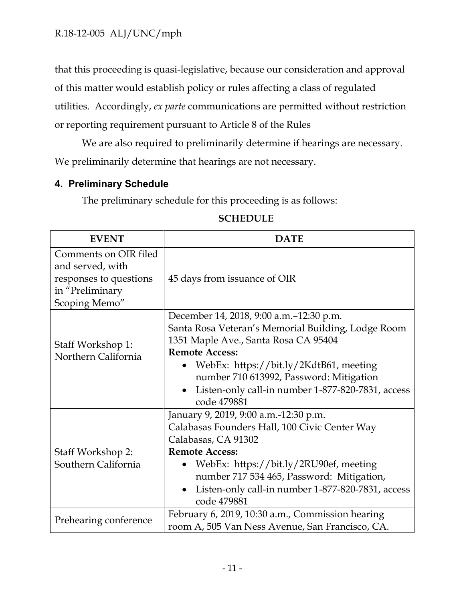that this proceeding is quasi-legislative, because our consideration and approval of this matter would establish policy or rules affecting a class of regulated utilities. Accordingly, *ex parte* communications are permitted without restriction or reporting requirement pursuant to Article 8 of the Rules

We are also required to preliminarily determine if hearings are necessary. We preliminarily determine that hearings are not necessary.

### **4. Preliminary Schedule**

The preliminary schedule for this proceeding is as follows:

| <b>EVENT</b>                                                                                            | <b>DATE</b>                                                                                                                                                                                                                                                                                                                           |
|---------------------------------------------------------------------------------------------------------|---------------------------------------------------------------------------------------------------------------------------------------------------------------------------------------------------------------------------------------------------------------------------------------------------------------------------------------|
| Comments on OIR filed<br>and served, with<br>responses to questions<br>in "Preliminary<br>Scoping Memo" | 45 days from issuance of OIR                                                                                                                                                                                                                                                                                                          |
| Staff Workshop 1:<br>Northern California                                                                | December 14, 2018, 9:00 a.m. -12:30 p.m.<br>Santa Rosa Veteran's Memorial Building, Lodge Room<br>1351 Maple Ave., Santa Rosa CA 95404<br><b>Remote Access:</b><br>WebEx: https://bit.ly/2KdtB61, meeting<br>number 710 613992, Password: Mitigation<br>Listen-only call-in number 1-877-820-7831, access<br>$\bullet$<br>code 479881 |
| Staff Workshop 2:<br>Southern California                                                                | January 9, 2019, 9:00 a.m.-12:30 p.m.<br>Calabasas Founders Hall, 100 Civic Center Way<br>Calabasas, CA 91302<br><b>Remote Access:</b><br>WebEx: https://bit.ly/2RU90ef, meeting<br>number 717 534 465, Password: Mitigation,<br>Listen-only call-in number 1-877-820-7831, access<br>$\bullet$<br>code 479881                        |
| Prehearing conference                                                                                   | February 6, 2019, 10:30 a.m., Commission hearing<br>room A, 505 Van Ness Avenue, San Francisco, CA.                                                                                                                                                                                                                                   |

#### **SCHEDULE**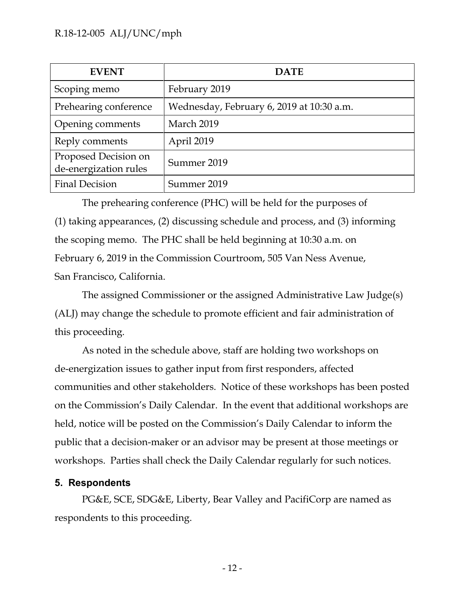| <b>EVENT</b>                                  | <b>DATE</b>                               |
|-----------------------------------------------|-------------------------------------------|
| Scoping memo                                  | February 2019                             |
| Prehearing conference                         | Wednesday, February 6, 2019 at 10:30 a.m. |
| Opening comments                              | March 2019                                |
| Reply comments                                | April 2019                                |
| Proposed Decision on<br>de-energization rules | Summer 2019                               |
| <b>Final Decision</b>                         | Summer 2019                               |

The prehearing conference (PHC) will be held for the purposes of (1) taking appearances, (2) discussing schedule and process, and (3) informing the scoping memo. The PHC shall be held beginning at 10:30 a.m. on February 6, 2019 in the Commission Courtroom, 505 Van Ness Avenue, San Francisco, California.

The assigned Commissioner or the assigned Administrative Law Judge(s) (ALJ) may change the schedule to promote efficient and fair administration of this proceeding.

As noted in the schedule above, staff are holding two workshops on de-energization issues to gather input from first responders, affected communities and other stakeholders. Notice of these workshops has been posted on the Commission's Daily Calendar. In the event that additional workshops are held, notice will be posted on the Commission's Daily Calendar to inform the public that a decision-maker or an advisor may be present at those meetings or workshops. Parties shall check the Daily Calendar regularly for such notices.

## **5. Respondents**

PG&E, SCE, SDG&E, Liberty, Bear Valley and PacifiCorp are named as respondents to this proceeding.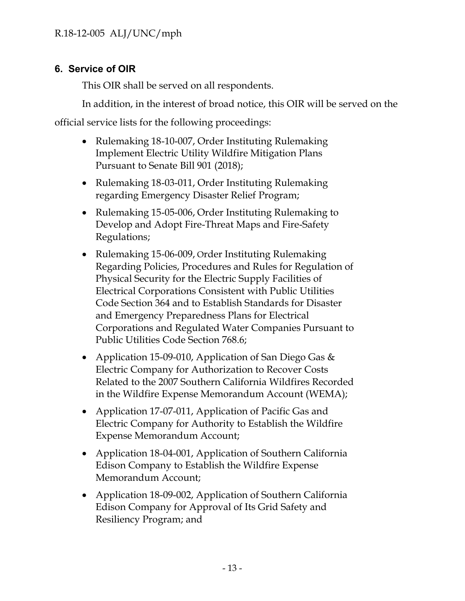# **6. Service of OIR**

This OIR shall be served on all respondents.

In addition, in the interest of broad notice, this OIR will be served on the

official service lists for the following proceedings:

- Rulemaking 18-10-007, Order Instituting Rulemaking Implement Electric Utility Wildfire Mitigation Plans Pursuant to Senate Bill 901 (2018);
- Rulemaking 18-03-011, Order Instituting Rulemaking regarding Emergency Disaster Relief Program;
- Rulemaking 15-05-006, Order Instituting Rulemaking to Develop and Adopt Fire-Threat Maps and Fire-Safety Regulations;
- Rulemaking 15-06-009, Order Instituting Rulemaking Regarding Policies, Procedures and Rules for Regulation of Physical Security for the Electric Supply Facilities of Electrical Corporations Consistent with Public Utilities Code Section 364 and to Establish Standards for Disaster and Emergency Preparedness Plans for Electrical Corporations and Regulated Water Companies Pursuant to Public Utilities Code Section 768.6;
- Application 15-09-010, Application of San Diego Gas & Electric Company for Authorization to Recover Costs Related to the 2007 Southern California Wildfires Recorded in the Wildfire Expense Memorandum Account (WEMA);
- Application 17-07-011, Application of Pacific Gas and Electric Company for Authority to Establish the Wildfire Expense Memorandum Account;
- Application 18-04-001, Application of Southern California Edison Company to Establish the Wildfire Expense Memorandum Account;
- Application 18-09-002, Application of Southern California Edison Company for Approval of Its Grid Safety and Resiliency Program; and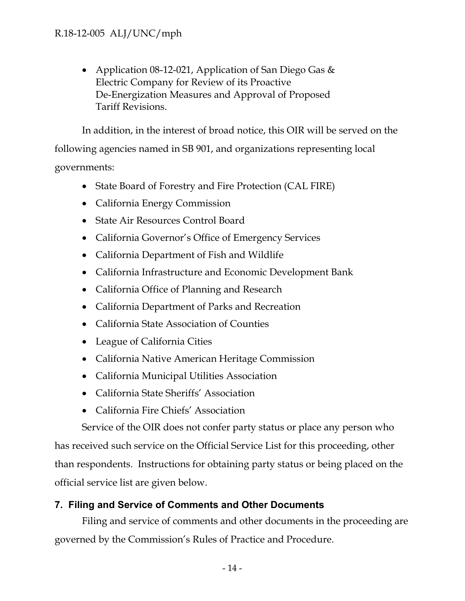• Application 08-12-021, Application of San Diego Gas & Electric Company for Review of its Proactive De-Energization Measures and Approval of Proposed Tariff Revisions.

In addition, in the interest of broad notice, this OIR will be served on the

following agencies named in SB 901, and organizations representing local governments:

- State Board of Forestry and Fire Protection (CAL FIRE)
- California Energy Commission
- State Air Resources Control Board
- California Governor's Office of Emergency Services
- California Department of Fish and Wildlife
- California Infrastructure and Economic Development Bank
- California Office of Planning and Research
- California Department of Parks and Recreation
- California State Association of Counties
- League of California Cities
- California Native American Heritage Commission
- California Municipal Utilities Association
- California State Sheriffs' Association
- California Fire Chiefs' Association

Service of the OIR does not confer party status or place any person who

has received such service on the Official Service List for this proceeding, other than respondents. Instructions for obtaining party status or being placed on the official service list are given below.

## **7. Filing and Service of Comments and Other Documents**

Filing and service of comments and other documents in the proceeding are governed by the Commission's Rules of Practice and Procedure.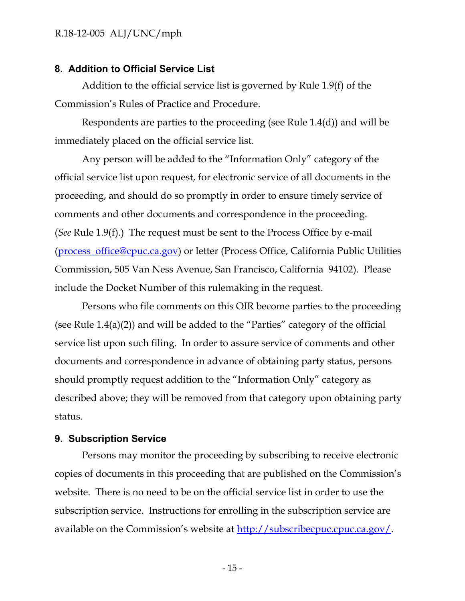#### **8. Addition to Official Service List**

Addition to the official service list is governed by Rule 1.9(f) of the Commission's Rules of Practice and Procedure.

Respondents are parties to the proceeding (see Rule 1.4(d)) and will be immediately placed on the official service list.

Any person will be added to the "Information Only" category of the official service list upon request, for electronic service of all documents in the proceeding, and should do so promptly in order to ensure timely service of comments and other documents and correspondence in the proceeding. (*See* Rule 1.9(f).) The request must be sent to the Process Office by e-mail [\(process\\_office@cpuc.ca.gov\)](mailto:process_office@cpuc.ca.gov) or letter (Process Office, California Public Utilities Commission, 505 Van Ness Avenue, San Francisco, California 94102). Please include the Docket Number of this rulemaking in the request.

Persons who file comments on this OIR become parties to the proceeding (see Rule 1.4(a)(2)) and will be added to the "Parties" category of the official service list upon such filing. In order to assure service of comments and other documents and correspondence in advance of obtaining party status, persons should promptly request addition to the "Information Only" category as described above; they will be removed from that category upon obtaining party status.

#### **9. Subscription Service**

Persons may monitor the proceeding by subscribing to receive electronic copies of documents in this proceeding that are published on the Commission's website. There is no need to be on the official service list in order to use the subscription service. Instructions for enrolling in the subscription service are available on the Commission's website at [http://subscribecpuc.cpuc.ca.gov/.](http://subscribecpuc.cpuc.ca.gov/)

- 15 -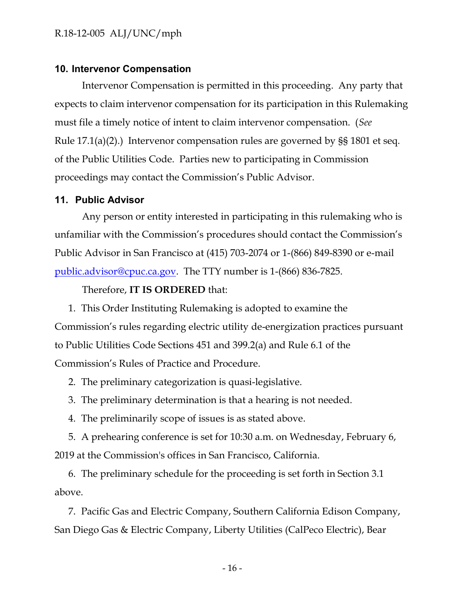#### **10. Intervenor Compensation**

Intervenor Compensation is permitted in this proceeding. Any party that expects to claim intervenor compensation for its participation in this Rulemaking must file a timely notice of intent to claim intervenor compensation. (*See* Rule 17.1(a)(2).) Intervenor compensation rules are governed by §§ 1801 et seq. of the Public Utilities Code. Parties new to participating in Commission proceedings may contact the Commission's Public Advisor.

#### **11. Public Advisor**

Any person or entity interested in participating in this rulemaking who is unfamiliar with the Commission's procedures should contact the Commission's Public Advisor in San Francisco at (415) 703-2074 or 1-(866) 849-8390 or e-mail [public.advisor@cpuc.ca.gov.](mailto:public.advisor@cpuc.ca.gov) The TTY number is 1-(866) 836-7825.

Therefore, **IT IS ORDERED** that:

1. This Order Instituting Rulemaking is adopted to examine the Commission's rules regarding electric utility de-energization practices pursuant to Public Utilities Code Sections 451 and 399.2(a) and Rule 6.1 of the Commission's Rules of Practice and Procedure.

2. The preliminary categorization is quasi-legislative.

3. The preliminary determination is that a hearing is not needed.

4. The preliminarily scope of issues is as stated above.

5. A prehearing conference is set for 10:30 a.m. on Wednesday, February 6, 2019 at the Commission's offices in San Francisco, California.

6. The preliminary schedule for the proceeding is set forth in Section 3.1 above.

7. Pacific Gas and Electric Company, Southern California Edison Company, San Diego Gas & Electric Company, Liberty Utilities (CalPeco Electric), Bear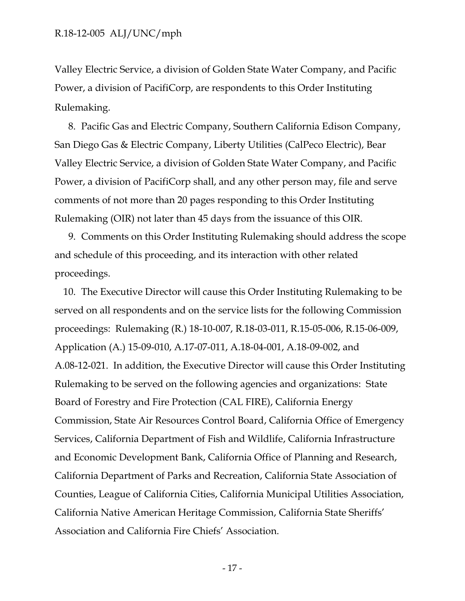Valley Electric Service, a division of Golden State Water Company, and Pacific Power, a division of PacifiCorp, are respondents to this Order Instituting Rulemaking.

8. Pacific Gas and Electric Company, Southern California Edison Company, San Diego Gas & Electric Company, Liberty Utilities (CalPeco Electric), Bear Valley Electric Service, a division of Golden State Water Company, and Pacific Power, a division of PacifiCorp shall, and any other person may, file and serve comments of not more than 20 pages responding to this Order Instituting Rulemaking (OIR) not later than 45 days from the issuance of this OIR.

9. Comments on this Order Instituting Rulemaking should address the scope and schedule of this proceeding, and its interaction with other related proceedings.

10. The Executive Director will cause this Order Instituting Rulemaking to be served on all respondents and on the service lists for the following Commission proceedings: Rulemaking (R.) 18-10-007, R.18-03-011, R.15-05-006, R.15-06-009, Application (A.) 15-09-010, A.17-07-011, A.18-04-001, A.18-09-002, and A.08-12-021. In addition, the Executive Director will cause this Order Instituting Rulemaking to be served on the following agencies and organizations: State Board of Forestry and Fire Protection (CAL FIRE), California Energy Commission, State Air Resources Control Board, California Office of Emergency Services, California Department of Fish and Wildlife, California Infrastructure and Economic Development Bank, California Office of Planning and Research, California Department of Parks and Recreation, California State Association of Counties, League of California Cities, California Municipal Utilities Association, California Native American Heritage Commission, California State Sheriffs' Association and California Fire Chiefs' Association.